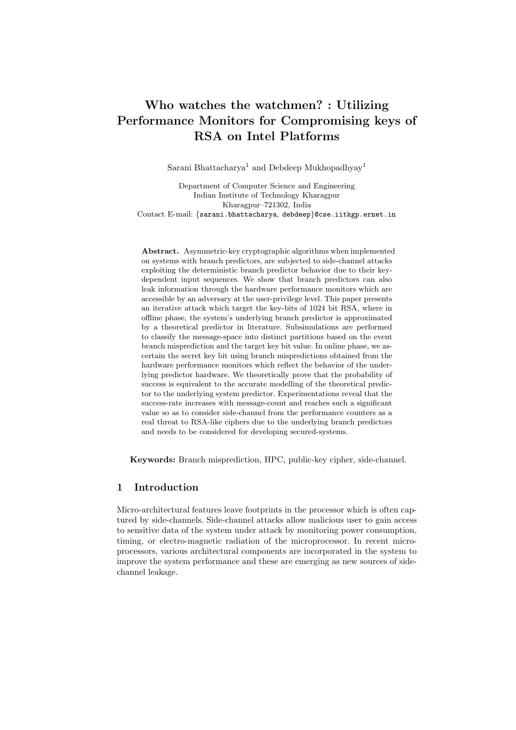# Who watches the watchmen? : Utilizing Performance Monitors for Compromising keys of RSA on Intel Platforms

Sarani Bhattacharya<sup>1</sup> and Debdeep Mukhopadhyay<sup>1</sup>

Department of Computer Science and Engineering Indian Institute of Technology Kharagpur Kharagpur–721302, India Contact E-mail: {sarani.bhattacharya, debdeep}@cse.iitkgp.ernet.in

Abstract. Asymmetric-key cryptographic algorithms when implemented on systems with branch predictors, are subjected to side-channel attacks exploiting the deterministic branch predictor behavior due to their keydependent input sequences. We show that branch predictors can also leak information through the hardware performance monitors which are accessible by an adversary at the user-privilege level. This paper presents an iterative attack which target the key-bits of 1024 bit RSA, where in offline phase, the system's underlying branch predictor is approximated by a theoretical predictor in literature. Subsimulations are performed to classify the message-space into distinct partitions based on the event branch misprediction and the target key bit value. In online phase, we ascertain the secret key bit using branch mispredictions obtained from the hardware performance monitors which reflect the behavior of the underlying predictor hardware. We theoretically prove that the probability of success is equivalent to the accurate modelling of the theoretical predictor to the underlying system predictor. Experimentations reveal that the success-rate increases with message-count and reaches such a significant value so as to consider side-channel from the performance counters as a real threat to RSA-like ciphers due to the underlying branch predictors and needs to be considered for developing secured-systems.

Keywords: Branch misprediction, HPC, public-key cipher, side-channel.

# 1 Introduction

Micro-architectural features leave footprints in the processor which is often captured by side-channels. Side-channel attacks allow malicious user to gain access to sensitive data of the system under attack by monitoring power consumption, timing, or electro-magnetic radiation of the microprocessor. In recent microprocessors, various architectural components are incorporated in the system to improve the system performance and these are emerging as new sources of sidechannel leakage.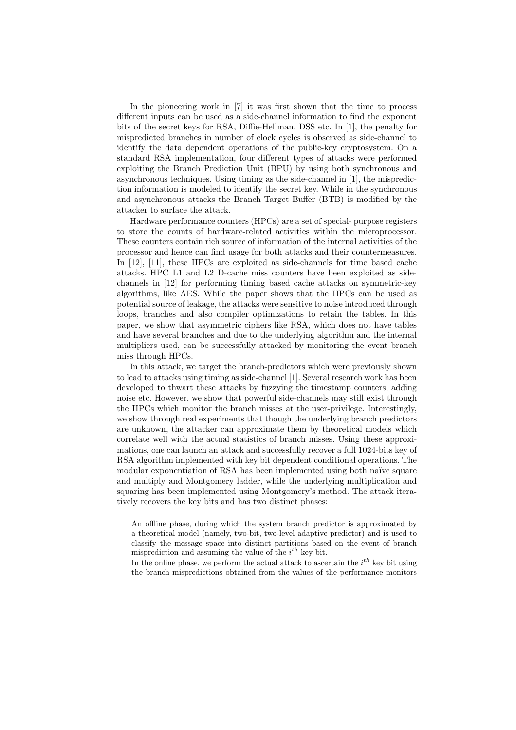In the pioneering work in [7] it was first shown that the time to process different inputs can be used as a side-channel information to find the exponent bits of the secret keys for RSA, Diffie-Hellman, DSS etc. In [1], the penalty for mispredicted branches in number of clock cycles is observed as side-channel to identify the data dependent operations of the public-key cryptosystem. On a standard RSA implementation, four different types of attacks were performed exploiting the Branch Prediction Unit (BPU) by using both synchronous and asynchronous techniques. Using timing as the side-channel in [1], the misprediction information is modeled to identify the secret key. While in the synchronous and asynchronous attacks the Branch Target Buffer (BTB) is modified by the attacker to surface the attack.

Hardware performance counters (HPCs) are a set of special- purpose registers to store the counts of hardware-related activities within the microprocessor. These counters contain rich source of information of the internal activities of the processor and hence can find usage for both attacks and their countermeasures. In [12], [11], these HPCs are exploited as side-channels for time based cache attacks. HPC L1 and L2 D-cache miss counters have been exploited as sidechannels in [12] for performing timing based cache attacks on symmetric-key algorithms, like AES. While the paper shows that the HPCs can be used as potential source of leakage, the attacks were sensitive to noise introduced through loops, branches and also compiler optimizations to retain the tables. In this paper, we show that asymmetric ciphers like RSA, which does not have tables and have several branches and due to the underlying algorithm and the internal multipliers used, can be successfully attacked by monitoring the event branch miss through HPCs.

In this attack, we target the branch-predictors which were previously shown to lead to attacks using timing as side-channel [1]. Several research work has been developed to thwart these attacks by fuzzying the timestamp counters, adding noise etc. However, we show that powerful side-channels may still exist through the HPCs which monitor the branch misses at the user-privilege. Interestingly, we show through real experiments that though the underlying branch predictors are unknown, the attacker can approximate them by theoretical models which correlate well with the actual statistics of branch misses. Using these approximations, one can launch an attack and successfully recover a full 1024-bits key of RSA algorithm implemented with key bit dependent conditional operations. The modular exponentiation of RSA has been implemented using both naïve square and multiply and Montgomery ladder, while the underlying multiplication and squaring has been implemented using Montgomery's method. The attack iteratively recovers the key bits and has two distinct phases:

- An offline phase, during which the system branch predictor is approximated by a theoretical model (namely, two-bit, two-level adaptive predictor) and is used to classify the message space into distinct partitions based on the event of branch misprediction and assuming the value of the  $i^{th}$  key bit.
- In the online phase, we perform the actual attack to ascertain the  $i^{th}$  key bit using the branch mispredictions obtained from the values of the performance monitors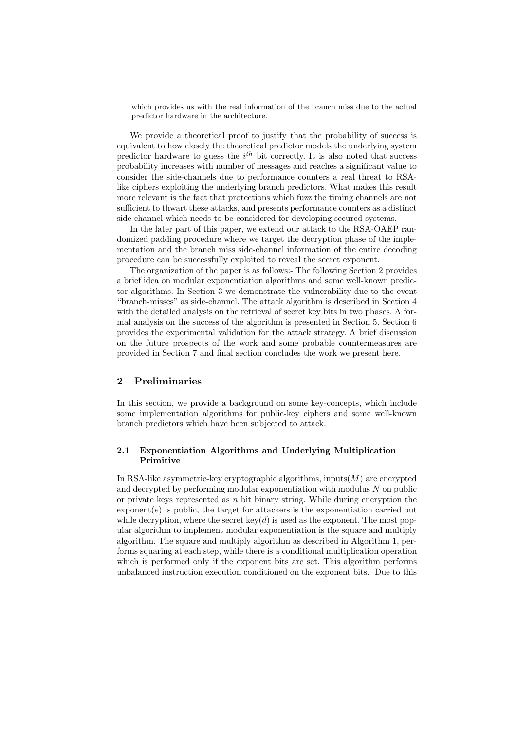which provides us with the real information of the branch miss due to the actual predictor hardware in the architecture.

We provide a theoretical proof to justify that the probability of success is equivalent to how closely the theoretical predictor models the underlying system predictor hardware to guess the  $i<sup>th</sup>$  bit correctly. It is also noted that success probability increases with number of messages and reaches a significant value to consider the side-channels due to performance counters a real threat to RSAlike ciphers exploiting the underlying branch predictors. What makes this result more relevant is the fact that protections which fuzz the timing channels are not sufficient to thwart these attacks, and presents performance counters as a distinct side-channel which needs to be considered for developing secured systems.

In the later part of this paper, we extend our attack to the RSA-OAEP randomized padding procedure where we target the decryption phase of the implementation and the branch miss side-channel information of the entire decoding procedure can be successfully exploited to reveal the secret exponent.

The organization of the paper is as follows:- The following Section 2 provides a brief idea on modular exponentiation algorithms and some well-known predictor algorithms. In Section 3 we demonstrate the vulnerability due to the event "branch-misses" as side-channel. The attack algorithm is described in Section 4 with the detailed analysis on the retrieval of secret key bits in two phases. A formal analysis on the success of the algorithm is presented in Section 5. Section 6 provides the experimental validation for the attack strategy. A brief discussion on the future prospects of the work and some probable countermeasures are provided in Section 7 and final section concludes the work we present here.

# 2 Preliminaries

In this section, we provide a background on some key-concepts, which include some implementation algorithms for public-key ciphers and some well-known branch predictors which have been subjected to attack.

# 2.1 Exponentiation Algorithms and Underlying Multiplication Primitive

In RSA-like asymmetric-key cryptographic algorithms, inputs $(M)$  are encrypted and decrypted by performing modular exponentiation with modulus N on public or private keys represented as  $n$  bit binary string. While during encryption the  $\alpha$  exponent(e) is public, the target for attackers is the exponentiation carried out while decryption, where the secret key(d) is used as the exponent. The most popular algorithm to implement modular exponentiation is the square and multiply algorithm. The square and multiply algorithm as described in Algorithm 1, performs squaring at each step, while there is a conditional multiplication operation which is performed only if the exponent bits are set. This algorithm performs unbalanced instruction execution conditioned on the exponent bits. Due to this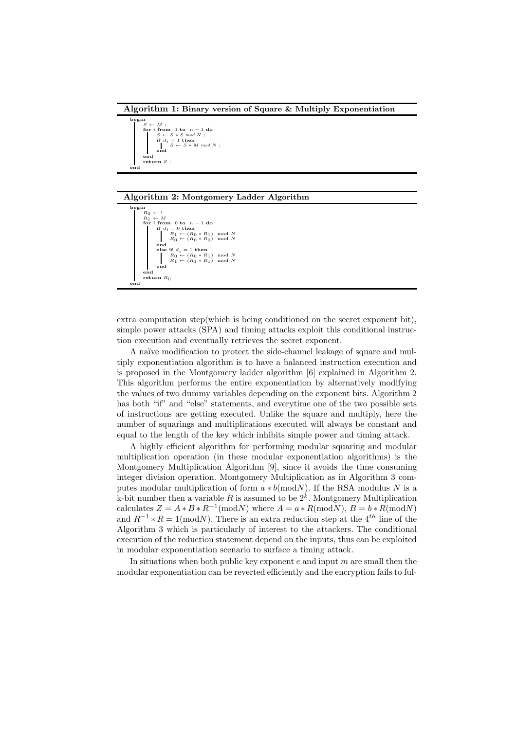#### Algorithm 1: Binary version of Square & Multiply Exponentiation



#### Algorithm 2: Montgomery Ladder Algorithm

| begin                               |  |
|-------------------------------------|--|
| $R_0 \leftarrow 1$                  |  |
| $R_1 \leftarrow M$                  |  |
| for <i>i</i> from $0$ to $n-1$ do   |  |
| if $d_i = 0$ then                   |  |
| $R_1 \leftarrow (R_0 * R_1) \mod N$ |  |
| $R_0 \leftarrow (R_0 * R_0) \mod N$ |  |
| end                                 |  |
| else if $d_i = 1$ then              |  |
| $R_0 \leftarrow (R_0 * R_1) \mod N$ |  |
| $R_1 \leftarrow (R_1 * R_1) \mod N$ |  |
| end                                 |  |
| end                                 |  |
| return $R_0$                        |  |
| end                                 |  |

extra computation step(which is being conditioned on the secret exponent bit), simple power attacks (SPA) and timing attacks exploit this conditional instruction execution and eventually retrieves the secret exponent.

A naïve modification to protect the side-channel leakage of square and multiply exponentiation algorithm is to have a balanced instruction execution and is proposed in the Montgomery ladder algorithm [6] explained in Algorithm 2. This algorithm performs the entire exponentiation by alternatively modifying the values of two dummy variables depending on the exponent bits. Algorithm 2 has both "if" and "else" statements, and everytime one of the two possible sets of instructions are getting executed. Unlike the square and multiply, here the number of squarings and multiplications executed will always be constant and equal to the length of the key which inhibits simple power and timing attack.

A highly efficient algorithm for performing modular squaring and modular multiplication operation (in these modular exponentiation algorithms) is the Montgomery Multiplication Algorithm [9], since it avoids the time consuming integer division operation. Montgomery Multiplication as in Algorithm 3 computes modular multiplication of form  $a * b \pmod{N}$ . If the RSA modulus N is a k-bit number then a variable R is assumed to be  $2^k$ . Montgomery Multiplication calculates  $Z = A * B * R^{-1}(\text{mod}N)$  where  $A = a * R(\text{mod}N), B = b * R(\text{mod}N)$ and  $R^{-1} * R = 1 \pmod{N}$ . There is an extra reduction step at the 4<sup>th</sup> line of the Algorithm 3 which is particularly of interest to the attackers. The conditional execution of the reduction statement depend on the inputs, thus can be exploited in modular exponentiation scenario to surface a timing attack.

In situations when both public key exponent  $e$  and input  $m$  are small then the modular exponentiation can be reverted efficiently and the encryption fails to ful-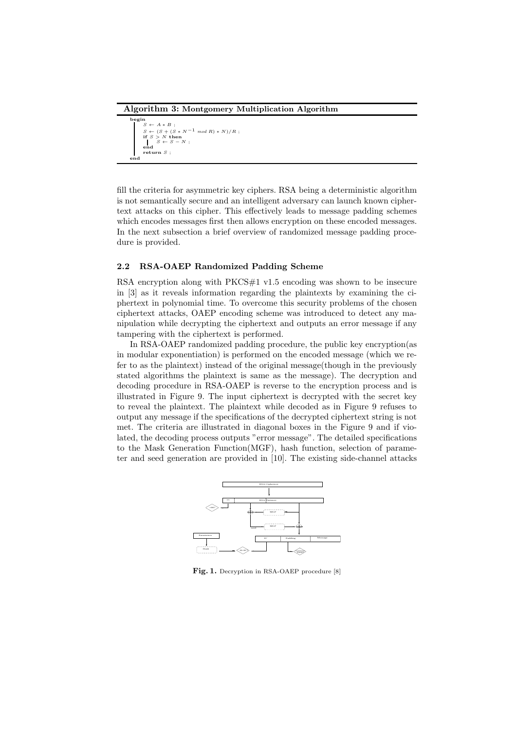#### Algorithm 3: Montgomery Multiplication Algorithm

```
begin
            S \leftarrow (S + (S * N^{-1} \mod R) * N) / R ;<br>if S > N then<br>\begin{array}{c} 1 \quad S \leftarrow S - N ; \end{array}end
            return S ;
end
```
fill the criteria for asymmetric key ciphers. RSA being a deterministic algorithm is not semantically secure and an intelligent adversary can launch known ciphertext attacks on this cipher. This effectively leads to message padding schemes which encodes messages first then allows encryption on these encoded messages. In the next subsection a brief overview of randomized message padding procedure is provided.

#### 2.2 RSA-OAEP Randomized Padding Scheme

RSA encryption along with PKCS#1 v1.5 encoding was shown to be insecure in [3] as it reveals information regarding the plaintexts by examining the ciphertext in polynomial time. To overcome this security problems of the chosen ciphertext attacks, OAEP encoding scheme was introduced to detect any manipulation while decrypting the ciphertext and outputs an error message if any tampering with the ciphertext is performed.

In RSA-OAEP randomized padding procedure, the public key encryption(as in modular exponentiation) is performed on the encoded message (which we refer to as the plaintext) instead of the original message(though in the previously stated algorithms the plaintext is same as the message). The decryption and decoding procedure in RSA-OAEP is reverse to the encryption process and is illustrated in Figure 9. The input ciphertext is decrypted with the secret key to reveal the plaintext. The plaintext while decoded as in Figure 9 refuses to output any message if the specifications of the decrypted ciphertext string is not met. The criteria are illustrated in diagonal boxes in the Figure 9 and if violated, the decoding process outputs "error message". The detailed specifications to the Mask Generation Function(MGF), hash function, selection of parameter and seed generation are provided in [10]. The existing side-channel attacks



Fig. 1. Decryption in RSA-OAEP procedure [8]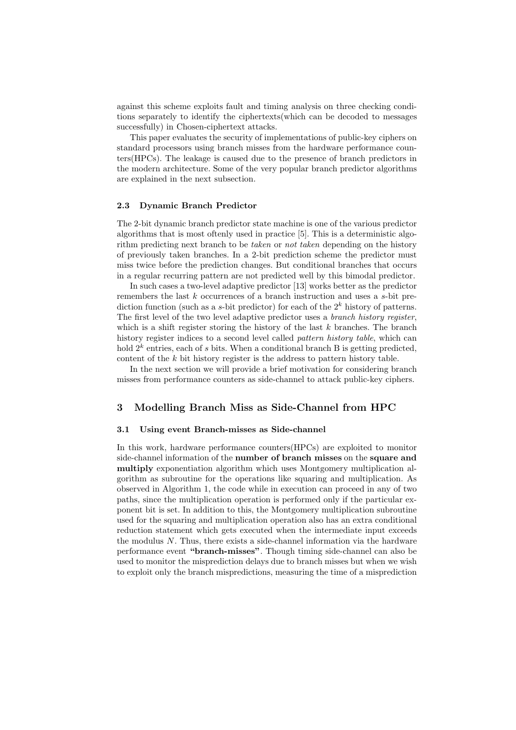against this scheme exploits fault and timing analysis on three checking conditions separately to identify the ciphertexts(which can be decoded to messages successfully) in Chosen-ciphertext attacks.

This paper evaluates the security of implementations of public-key ciphers on standard processors using branch misses from the hardware performance counters(HPCs). The leakage is caused due to the presence of branch predictors in the modern architecture. Some of the very popular branch predictor algorithms are explained in the next subsection.

#### 2.3 Dynamic Branch Predictor

The 2-bit dynamic branch predictor state machine is one of the various predictor algorithms that is most oftenly used in practice [5]. This is a deterministic algorithm predicting next branch to be taken or not taken depending on the history of previously taken branches. In a 2-bit prediction scheme the predictor must miss twice before the prediction changes. But conditional branches that occurs in a regular recurring pattern are not predicted well by this bimodal predictor.

In such cases a two-level adaptive predictor [13] works better as the predictor remembers the last k occurrences of a branch instruction and uses a s-bit prediction function (such as a s-bit predictor) for each of the  $2^k$  history of patterns. The first level of the two level adaptive predictor uses a *branch history register*, which is a shift register storing the history of the last  $k$  branches. The branch history register indices to a second level called *pattern history table*, which can hold  $2^k$  entries, each of s bits. When a conditional branch B is getting predicted, content of the k bit history register is the address to pattern history table.

In the next section we will provide a brief motivation for considering branch misses from performance counters as side-channel to attack public-key ciphers.

# 3 Modelling Branch Miss as Side-Channel from HPC

#### 3.1 Using event Branch-misses as Side-channel

In this work, hardware performance counters(HPCs) are exploited to monitor side-channel information of the number of branch misses on the square and multiply exponentiation algorithm which uses Montgomery multiplication algorithm as subroutine for the operations like squaring and multiplication. As observed in Algorithm 1, the code while in execution can proceed in any of two paths, since the multiplication operation is performed only if the particular exponent bit is set. In addition to this, the Montgomery multiplication subroutine used for the squaring and multiplication operation also has an extra conditional reduction statement which gets executed when the intermediate input exceeds the modulus N. Thus, there exists a side-channel information via the hardware performance event "branch-misses". Though timing side-channel can also be used to monitor the misprediction delays due to branch misses but when we wish to exploit only the branch mispredictions, measuring the time of a misprediction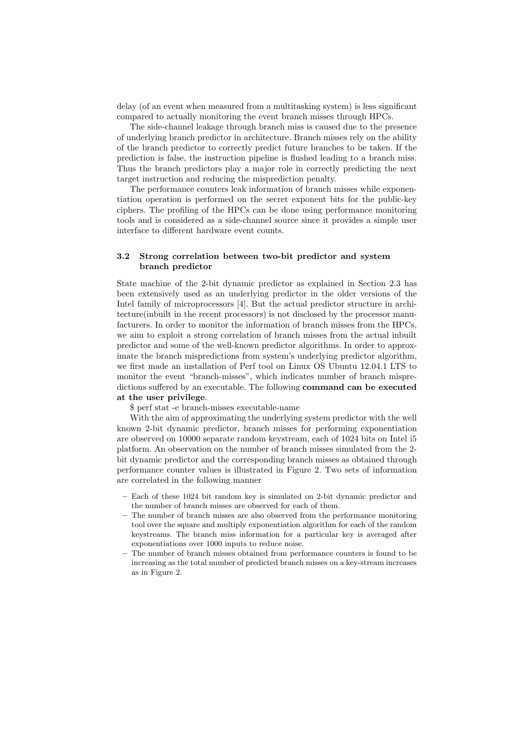delay (of an event when measured from a multitasking system) is less significant compared to actually monitoring the event branch misses through HPCs.

The side-channel leakage through branch miss is caused due to the presence of underlying branch predictor in architecture. Branch misses rely on the ability of the branch predictor to correctly predict future branches to be taken. If the prediction is false, the instruction pipeline is flushed leading to a branch miss. Thus the branch predictors play a major role in correctly predicting the next target instruction and reducing the misprediction penalty.

The performance counters leak information of branch misses while exponentiation operation is performed on the secret exponent bits for the public-key ciphers. The profiling of the HPCs can be done using performance monitoring tools and is considered as a side-channel source since it provides a simple user interface to different hardware event counts.

# 3.2 Strong correlation between two-bit predictor and system branch predictor

State machine of the 2-bit dynamic predictor as explained in Section 2.3 has been extensively used as an underlying predictor in the older versions of the Intel family of microprocessors [4]. But the actual predictor structure in architecture(inbuilt in the recent processors) is not disclosed by the processor manufacturers. In order to monitor the information of branch misses from the HPCs, we aim to exploit a strong correlation of branch misses from the actual inbuilt predictor and some of the well-known predictor algorithms. In order to approximate the branch mispredictions from system's underlying predictor algorithm, we first made an installation of Perf tool on Linux OS Ubuntu 12.04.1 LTS to monitor the event "branch-misses", which indicates number of branch mispredictions suffered by an executable. The following command can be executed at the user privilege.

\$ perf stat -e branch-misses executable-name

With the aim of approximating the underlying system predictor with the well known 2-bit dynamic predictor, branch misses for performing exponentiation are observed on 10000 separate random keystream, each of 1024 bits on Intel i5 platform. An observation on the number of branch misses simulated from the 2 bit dynamic predictor and the corresponding branch misses as obtained through performance counter values is illustrated in Figure 2. Two sets of information are correlated in the following manner

- Each of these 1024 bit random key is simulated on 2-bit dynamic predictor and the number of branch misses are observed for each of them.
- The number of branch misses are also observed from the performance monitoring tool over the square and multiply exponentiation algorithm for each of the random keystreams. The branch miss information for a particular key is averaged after exponentiations over 1000 inputs to reduce noise.
- The number of branch misses obtained from performance counters is found to be increasing as the total number of predicted branch misses on a key-stream increases as in Figure 2.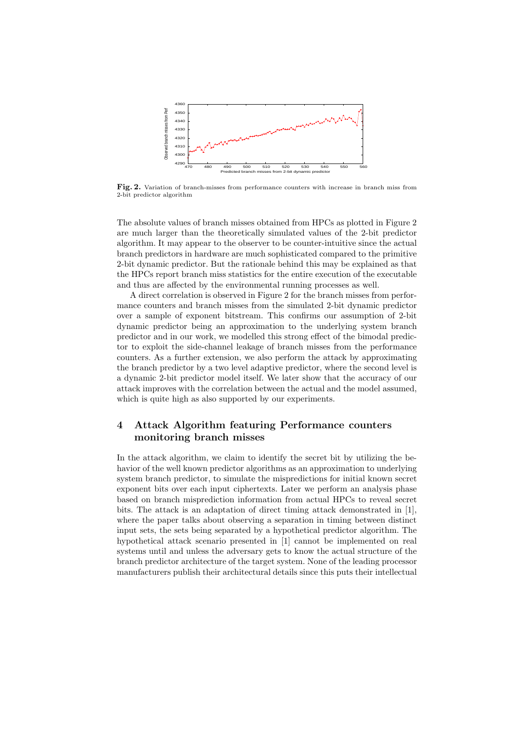

Fig. 2. Variation of branch-misses from performance counters with increase in branch miss from 2-bit predictor algorithm

The absolute values of branch misses obtained from HPCs as plotted in Figure 2 are much larger than the theoretically simulated values of the 2-bit predictor algorithm. It may appear to the observer to be counter-intuitive since the actual branch predictors in hardware are much sophisticated compared to the primitive 2-bit dynamic predictor. But the rationale behind this may be explained as that the HPCs report branch miss statistics for the entire execution of the executable and thus are affected by the environmental running processes as well.

A direct correlation is observed in Figure 2 for the branch misses from performance counters and branch misses from the simulated 2-bit dynamic predictor over a sample of exponent bitstream. This confirms our assumption of 2-bit dynamic predictor being an approximation to the underlying system branch predictor and in our work, we modelled this strong effect of the bimodal predictor to exploit the side-channel leakage of branch misses from the performance counters. As a further extension, we also perform the attack by approximating the branch predictor by a two level adaptive predictor, where the second level is a dynamic 2-bit predictor model itself. We later show that the accuracy of our attack improves with the correlation between the actual and the model assumed, which is quite high as also supported by our experiments.

# 4 Attack Algorithm featuring Performance counters monitoring branch misses

In the attack algorithm, we claim to identify the secret bit by utilizing the behavior of the well known predictor algorithms as an approximation to underlying system branch predictor, to simulate the mispredictions for initial known secret exponent bits over each input ciphertexts. Later we perform an analysis phase based on branch misprediction information from actual HPCs to reveal secret bits. The attack is an adaptation of direct timing attack demonstrated in [1], where the paper talks about observing a separation in timing between distinct input sets, the sets being separated by a hypothetical predictor algorithm. The hypothetical attack scenario presented in [1] cannot be implemented on real systems until and unless the adversary gets to know the actual structure of the branch predictor architecture of the target system. None of the leading processor manufacturers publish their architectural details since this puts their intellectual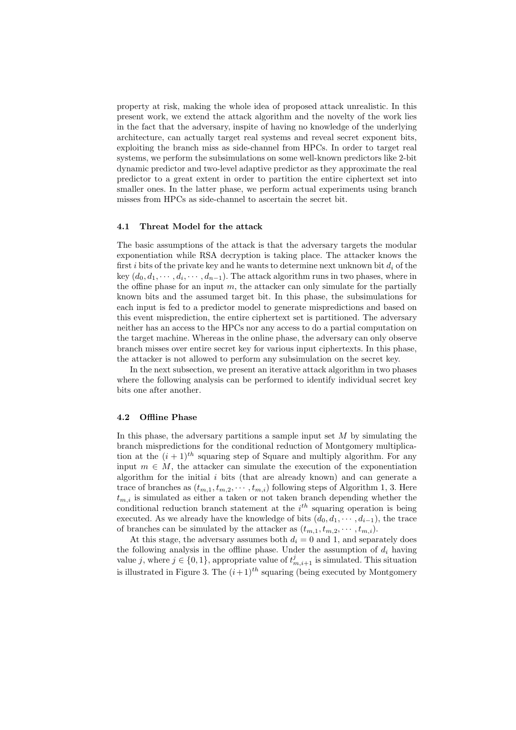property at risk, making the whole idea of proposed attack unrealistic. In this present work, we extend the attack algorithm and the novelty of the work lies in the fact that the adversary, inspite of having no knowledge of the underlying architecture, can actually target real systems and reveal secret exponent bits, exploiting the branch miss as side-channel from HPCs. In order to target real systems, we perform the subsimulations on some well-known predictors like 2-bit dynamic predictor and two-level adaptive predictor as they approximate the real predictor to a great extent in order to partition the entire ciphertext set into smaller ones. In the latter phase, we perform actual experiments using branch misses from HPCs as side-channel to ascertain the secret bit.

#### 4.1 Threat Model for the attack

The basic assumptions of the attack is that the adversary targets the modular exponentiation while RSA decryption is taking place. The attacker knows the first i bits of the private key and he wants to determine next unknown bit  $d_i$  of the key  $(d_0, d_1, \dots, d_i, \dots, d_{n-1})$ . The attack algorithm runs in two phases, where in the offine phase for an input  $m$ , the attacker can only simulate for the partially known bits and the assumed target bit. In this phase, the subsimulations for each input is fed to a predictor model to generate mispredictions and based on this event misprediction, the entire ciphertext set is partitioned. The adversary neither has an access to the HPCs nor any access to do a partial computation on the target machine. Whereas in the online phase, the adversary can only observe branch misses over entire secret key for various input ciphertexts. In this phase, the attacker is not allowed to perform any subsimulation on the secret key.

In the next subsection, we present an iterative attack algorithm in two phases where the following analysis can be performed to identify individual secret key bits one after another.

#### 4.2 Offline Phase

In this phase, the adversary partitions a sample input set  $M$  by simulating the branch mispredictions for the conditional reduction of Montgomery multiplication at the  $(i + 1)^{th}$  squaring step of Square and multiply algorithm. For any input  $m \in M$ , the attacker can simulate the execution of the exponentiation algorithm for the initial  $i$  bits (that are already known) and can generate a trace of branches as  $(t_{m,1}, t_{m,2}, \cdots, t_{m,i})$  following steps of Algorithm 1, 3. Here  $t_{m,i}$  is simulated as either a taken or not taken branch depending whether the conditional reduction branch statement at the  $i<sup>th</sup>$  squaring operation is being executed. As we already have the knowledge of bits  $(d_0, d_1, \dots, d_{i-1})$ , the trace of branches can be simulated by the attacker as  $(t_{m,1}, t_{m,2}, \cdots, t_{m,i})$ .

At this stage, the adversary assumes both  $d_i = 0$  and 1, and separately does the following analysis in the offline phase. Under the assumption of  $d_i$  having value j, where  $j \in \{0, 1\}$ , appropriate value of  $t_{m,i+1}^j$  is simulated. This situation is illustrated in Figure 3. The  $(i+1)^{th}$  squaring (being executed by Montgomery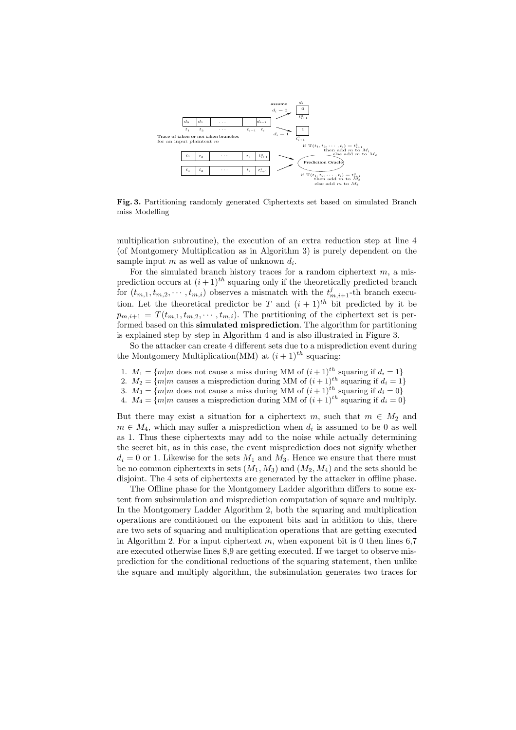

Fig. 3. Partitioning randomly generated Ciphertexts set based on simulated Branch miss Modelling

multiplication subroutine), the execution of an extra reduction step at line 4 (of Montgomery Multiplication as in Algorithm 3) is purely dependent on the sample input  $m$  as well as value of unknown  $d_i$ .

For the simulated branch history traces for a random ciphertext  $m$ , a misprediction occurs at  $(i + 1)^{th}$  squaring only if the theoretically predicted branch for  $(t_{m,1}, t_{m,2}, \cdots, t_{m,i})$  observes a mismatch with the  $t_{m,i+1}^j$ -th branch execution. Let the theoretical predictor be T and  $(i + 1)^{th}$  bit predicted by it be  $p_{m,i+1} = T(t_{m,1}, t_{m,2}, \cdots, t_{m,i}).$  The partitioning of the ciphertext set is performed based on this **simulated misprediction**. The algorithm for partitioning is explained step by step in Algorithm 4 and is also illustrated in Figure 3.

So the attacker can create 4 different sets due to a misprediction event during the Montgomery Multiplication(MM) at  $(i + 1)^{th}$  squaring:

- 1.  $M_1 = \{m|m$  does not cause a miss during MM of  $(i + 1)^{th}$  squaring if  $d_i = 1\}$
- 2.  $M_2 = \{m|m \text{ causes a misprediction during MM of } (i+1)^{th} \text{ squaring if } d_i = 1\}$
- 3.  $M_3 = \{m|m$  does not cause a miss during MM of  $(i + 1)^{th}$  squaring if  $d_i = 0\}$
- 4.  $M_4 = \{m|m$  causes a misprediction during MM of  $(i + 1)^{th}$  squaring if  $d_i = 0\}$

But there may exist a situation for a ciphertext m, such that  $m \in M_2$  and  $m \in M_4$ , which may suffer a misprediction when  $d_i$  is assumed to be 0 as well as 1. Thus these ciphertexts may add to the noise while actually determining the secret bit, as in this case, the event misprediction does not signify whether  $d_i = 0$  or 1. Likewise for the sets  $M_1$  and  $M_3$ . Hence we ensure that there must be no common ciphertexts in sets  $(M_1, M_3)$  and  $(M_2, M_4)$  and the sets should be disjoint. The 4 sets of ciphertexts are generated by the attacker in offline phase.

The Offline phase for the Montgomery Ladder algorithm differs to some extent from subsimulation and misprediction computation of square and multiply. In the Montgomery Ladder Algorithm 2, both the squaring and multiplication operations are conditioned on the exponent bits and in addition to this, there are two sets of squaring and multiplication operations that are getting executed in Algorithm 2. For a input ciphertext  $m$ , when exponent bit is 0 then lines 6,7 are executed otherwise lines 8,9 are getting executed. If we target to observe misprediction for the conditional reductions of the squaring statement, then unlike the square and multiply algorithm, the subsimulation generates two traces for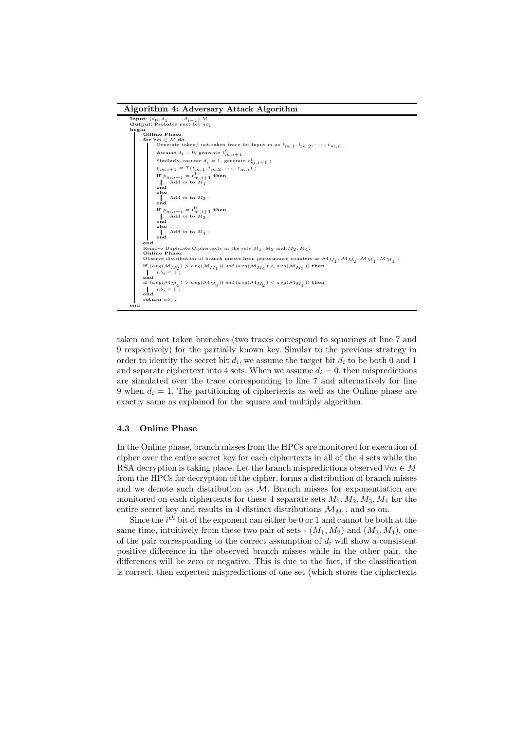

taken and not taken branches (two traces correspond to squarings at line 7 and 9 respectively) for the partially known key. Similar to the previous strategy in order to identify the secret bit  $d_i$ , we assume the target bit  $d_i$  to be both 0 and 1 and separate ciphertext into 4 sets. When we assume  $d_i = 0$ , then mispredictions are simulated over the trace corresponding to line 7 and alternatively for line 9 when  $d_i = 1$ . The partitioning of ciphertexts as well as the Online phase are exactly same as explained for the square and multiply algorithm.

#### 4.3 Online Phase

In the Online phase, branch misses from the HPCs are monitored for execution of cipher over the entire secret key for each ciphertexts in all of the 4 sets while the RSA decryption is taking place. Let the branch mispredictions observed  $\forall m \in M$ from the HPCs for decryption of the cipher, forms a distribution of branch misses and we denote such distribution as  $M$ . Branch misses for exponentiation are monitored on each ciphertexts for these 4 separate sets  $M_1, M_2, M_3, M_4$  for the entire secret key and results in 4 distinct distributions  $\mathcal{M}_{M_1}$ , and so on.

Since the  $i^{th}$  bit of the exponent can either be 0 or 1 and cannot be both at the same time, intuitively from these two pair of sets -  $(M_1, M_2)$  and  $(M_3, M_4)$ , one of the pair corresponding to the correct assumption of  $d_i$  will show a consistent positive difference in the observed branch misses while in the other pair, the differences will be zero or negative. This is due to the fact, if the classification is correct, then expected mispredictions of one set (which stores the ciphertexts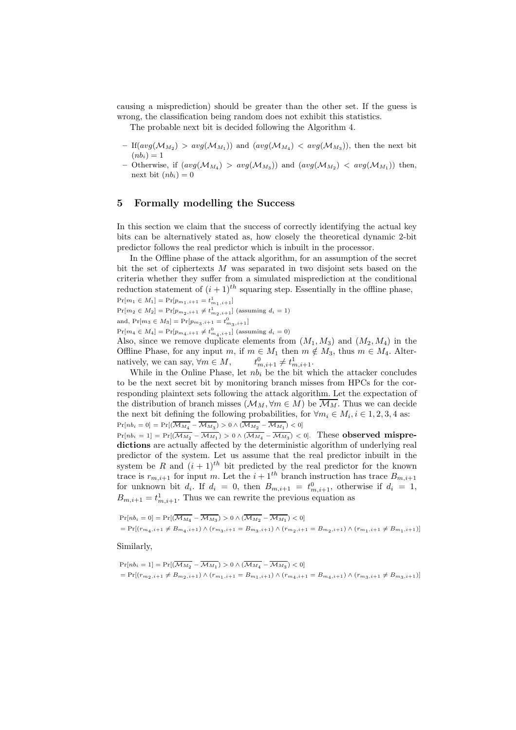causing a misprediction) should be greater than the other set. If the guess is wrong, the classification being random does not exhibit this statistics.

The probable next bit is decided following the Algorithm 4.

- $-If(avg(\mathcal{M}_{M_2}) > avg(\mathcal{M}_{M_1}))$  and  $(avg(\mathcal{M}_{M_4}) < avg(\mathcal{M}_{M_3}))$ , then the next bit  $(nb_i) = 1$
- Otherwise, if  $(avg(\mathcal{M}_{M_4}) > avg(\mathcal{M}_{M_3}))$  and  $(avg(\mathcal{M}_{M_2}) < avg(\mathcal{M}_{M_1}))$  then, next bit  $(nb_i) = 0$

# 5 Formally modelling the Success

In this section we claim that the success of correctly identifying the actual key bits can be alternatively stated as, how closely the theoretical dynamic 2-bit predictor follows the real predictor which is inbuilt in the processor.

In the Offline phase of the attack algorithm, for an assumption of the secret bit the set of ciphertexts  $M$  was separated in two disjoint sets based on the criteria whether they suffer from a simulated misprediction at the conditional reduction statement of  $(i + 1)^{th}$  squaring step. Essentially in the offline phase,

 $Pr[m_1 \in M_1] = Pr[p_{m_1,i+1} = t_{m_1,i+1}^1]$  $Pr[m_2 \in M_2] = Pr[p_{m_2,i+1} \neq t_{m_2,i+1}^1]$  (assuming  $d_i = 1$ )

and,  $Pr[m_3 \in M_3] = Pr[p_{m_3,i+1} = t_{m_3,i+1}^0]$ 

 $Pr[m_4 \in M_4] = Pr[p_{m_4,i+1} \neq t_{m_4,i+1}^0]$  (assuming  $d_i = 0$ )

Also, since we remove duplicate elements from  $(M_1, M_3)$  and  $(M_2, M_4)$  in the Offline Phase, for any input m, if  $m \in M_1$  then  $m \notin M_3$ , thus  $m \in M_4$ . Alternatively, we can say,  $\forall m \in M$ ,  $_{m,i+1}^{0}\neq t_{m,i+1}^{1}.$ 

While in the Online Phase, let  $nb_i$  be the bit which the attacker concludes to be the next secret bit by monitoring branch misses from HPCs for the corresponding plaintext sets following the attack algorithm. Let the expectation of the distribution of branch misses ( $\mathcal{M}_M$ ,  $\forall m \in M$ ) be  $\overline{\mathcal{M}_M}$ . Thus we can decide the next bit defining the following probabilities, for  $\forall m_i \in M_i, i \in 1, 2, 3, 4$  as:  $Pr[nb_i = 0] = Pr[(\mathcal{M}_{M_4} - \mathcal{M}_{M_3}) > 0 \land (\mathcal{M}_{M_2} - \mathcal{M}_{M_1}) < 0]$ 

 $Pr[nb_i = 1] = Pr[(\overline{M_{M_2}} - \overline{M_{M_1}}) > 0 \wedge (\overline{M_{M_4}} - \overline{M_{M_3}}) < 0].$  These observed mispredictions are actually affected by the deterministic algorithm of underlying real predictor of the system. Let us assume that the real predictor inbuilt in the system be R and  $(i + 1)^{th}$  bit predicted by the real predictor for the known trace is  $r_{m,i+1}$  for input m. Let the  $i+1^{th}$  branch instruction has trace  $B_{m,i+1}$ for unknown bit  $d_i$ . If  $d_i = 0$ , then  $B_{m,i+1} = t_{m,i+1}^0$ , otherwise if  $d_i = 1$ ,  $B_{m,i+1} = t_{m,i+1}^1$ . Thus we can rewrite the previous equation as

 $Pr[nb_i = 0] = Pr[(\mathcal{M}_{M_4} - \mathcal{M}_{M_3}) > 0 \land (\mathcal{M}_{M_2} - \mathcal{M}_{M_1}) < 0]$  $= Pr[(r_{m_4,i+1} \neq B_{m_4,i+1}) \wedge (r_{m_3,i+1} = B_{m_3,i+1}) \wedge (r_{m_2,i+1} = B_{m_2,i+1}) \wedge (r_{m_1,i+1} \neq B_{m_1,i+1})]$ 

#### Similarly,

$$
\begin{aligned} &\Pr[n{b_i=1}] = \Pr[(\overline{\mathcal{M}_{{M_2}}} - \overline{\mathcal{M}_{{M_1}}}) > 0 \wedge (\overline{\mathcal{M}_{{M_4}}} - \overline{\mathcal{M}_{{M_3}}}) < 0] \\ &= \Pr[(r_{m_2,i+1} \neq B_{m_2,i+1}) \wedge (r_{m_1,i+1} = B_{m_1,i+1}) \wedge (r_{m_4,i+1} = B_{m_4,i+1}) \wedge (r_{m_3,i+1} \neq B_{m_3,i+1})] \end{aligned}
$$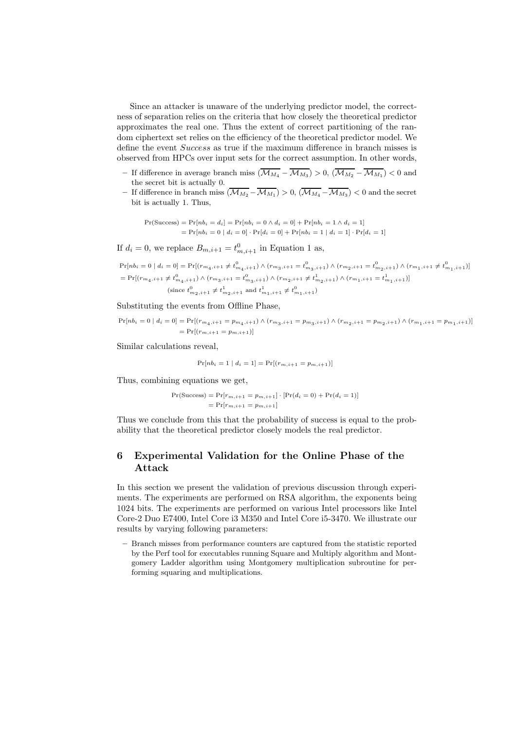Since an attacker is unaware of the underlying predictor model, the correctness of separation relies on the criteria that how closely the theoretical predictor approximates the real one. Thus the extent of correct partitioning of the random ciphertext set relies on the efficiency of the theoretical predictor model. We define the event Success as true if the maximum difference in branch misses is observed from HPCs over input sets for the correct assumption. In other words,

- − If difference in average branch miss  $(\mathcal{M}_{M_4} \mathcal{M}_{M_3}) > 0$ ,  $(\mathcal{M}_{M_2} \mathcal{M}_{M_1}) < 0$  and the secret bit is actually 0.
- − If difference in branch miss  $(\mathcal{M}_{M_2} \mathcal{M}_{M_1}) > 0$ ,  $(\mathcal{M}_{M_4} \mathcal{M}_{M_3}) < 0$  and the secret bit is actually 1. Thus,

 $Pr(Success) = Pr[nb_i = d_i] = Pr[nb_i = 0 \land d_i = 0] + Pr[nb_i = 1 \land d_i = 1]$  $= Pr[nb_i = 0 | d_i = 0] \cdot Pr[d_i = 0] + Pr[nb_i = 1 | d_i = 1] \cdot Pr[d_i = 1]$ 

If  $d_i = 0$ , we replace  $B_{m,i+1} = t_{m,i+1}^0$  in Equation 1 as,

$$
\begin{split} \Pr[nb_i=0 \mid d_i=0] &= \Pr[(r_{m_4,i+1} \neq t_{m_4,i+1}^0) \wedge (r_{m_3,i+1}=t_{m_3,i+1}^0) \wedge (r_{m_2,i+1}=t_{m_2,i+1}^0) \wedge (r_{m_1,i+1}\neq t_{m_1,i+1}^0)] \\ &= \Pr[(r_{m_4,i+1} \neq t_{m_4,i+1}^0) \wedge (r_{m_3,i+1}=t_{m_3,i+1}^0) \wedge (r_{m_2,i+1}\neq t_{m_2,i+1}^1) \wedge (r_{m_1,i+1}=t_{m_1,i+1}^1)] \\ &\hspace{3.5cm} \text{(since } t_{m_2,i+1}^0 \neq t_{m_2,i+1}^1 \text{ and } t_{m_1,i+1}^1 \neq t_{m_1,i+1}^0) \end{split}
$$

Substituting the events from Offline Phase,

$$
\Pr[n b_i = 0 \mid d_i = 0] = \Pr[(r_{m_4, i+1} = p_{m_4, i+1}) \land (r_{m_3, i+1} = p_{m_3, i+1}) \land (r_{m_2, i+1} = p_{m_2, i+1}) \land (r_{m_1, i+1} = p_{m_1, i+1})]
$$

$$
= \Pr[(r_{m, i+1} = p_{m, i+1})]
$$

Similar calculations reveal,

$$
Pr[nb_i = 1 | d_i = 1] = Pr[(r_{m,i+1} = p_{m,i+1})]
$$

Thus, combining equations we get,

$$
Pr(Success) = Pr[r_{m,i+1} = p_{m,i+1}] \cdot [Pr(d_i = 0) + Pr(d_i = 1)]
$$
  
= Pr[r\_{m,i+1} = p\_{m,i+1}]

Thus we conclude from this that the probability of success is equal to the probability that the theoretical predictor closely models the real predictor.

# 6 Experimental Validation for the Online Phase of the Attack

In this section we present the validation of previous discussion through experiments. The experiments are performed on RSA algorithm, the exponents being 1024 bits. The experiments are performed on various Intel processors like Intel Core-2 Duo E7400, Intel Core i3 M350 and Intel Core i5-3470. We illustrate our results by varying following parameters:

– Branch misses from performance counters are captured from the statistic reported by the Perf tool for executables running Square and Multiply algorithm and Montgomery Ladder algorithm using Montgomery multiplication subroutine for performing squaring and multiplications.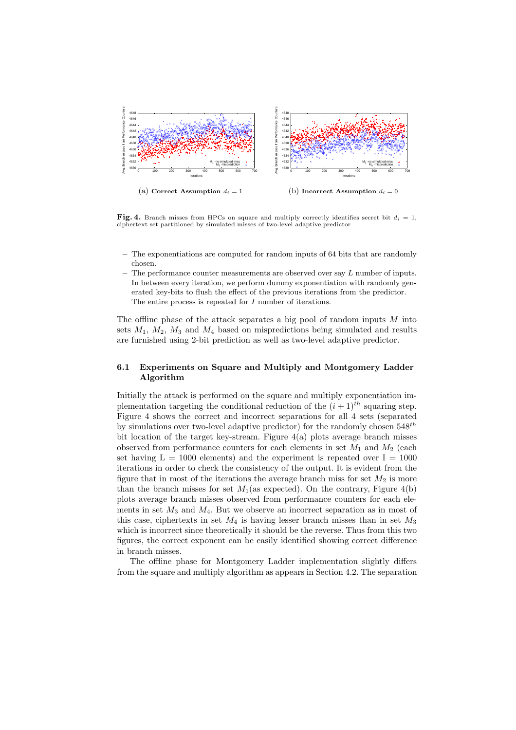

Fig. 4. Branch misses from HPCs on square and multiply correctly identifies secret bit  $d_i = 1$ . ciphertext set partitioned by simulated misses of two-level adaptive predictor

- The exponentiations are computed for random inputs of 64 bits that are randomly chosen.
- The performance counter measurements are observed over say L number of inputs. In between every iteration, we perform dummy exponentiation with randomly generated key-bits to flush the effect of the previous iterations from the predictor.
- The entire process is repeated for I number of iterations.

The offline phase of the attack separates a big pool of random inputs  $M$  into sets  $M_1$ ,  $M_2$ ,  $M_3$  and  $M_4$  based on mispredictions being simulated and results are furnished using 2-bit prediction as well as two-level adaptive predictor.

# 6.1 Experiments on Square and Multiply and Montgomery Ladder Algorithm

Initially the attack is performed on the square and multiply exponentiation implementation targeting the conditional reduction of the  $(i+1)^{th}$  squaring step. Figure 4 shows the correct and incorrect separations for all 4 sets (separated by simulations over two-level adaptive predictor) for the randomly chosen  $548^{th}$ bit location of the target key-stream. Figure 4(a) plots average branch misses observed from performance counters for each elements in set  $M_1$  and  $M_2$  (each set having  $L = 1000$  elements) and the experiment is repeated over  $I = 1000$ iterations in order to check the consistency of the output. It is evident from the figure that in most of the iterations the average branch miss for set  $M_2$  is more than the branch misses for set  $M_1$ (as expected). On the contrary, Figure 4(b) plots average branch misses observed from performance counters for each elements in set  $M_3$  and  $M_4$ . But we observe an incorrect separation as in most of this case, ciphertexts in set  $M_4$  is having lesser branch misses than in set  $M_3$ which is incorrect since theoretically it should be the reverse. Thus from this two figures, the correct exponent can be easily identified showing correct difference in branch misses.

The offline phase for Montgomery Ladder implementation slightly differs from the square and multiply algorithm as appears in Section 4.2. The separation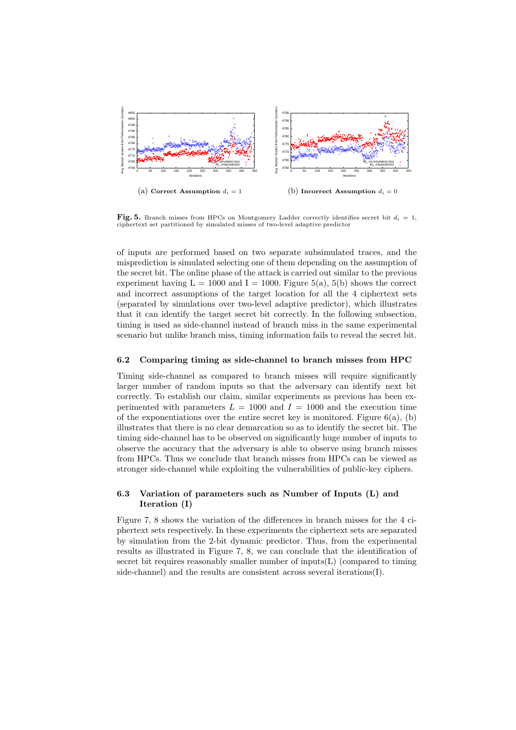

Fig. 5. Branch misses from HPCs on Montgomery Ladder correctly identifies secret bit  $d_i = 1$ . ciphertext set partitioned by simulated misses of two-level adaptive predictor

of inputs are performed based on two separate subsimulated traces, and the misprediction is simulated selecting one of them depending on the assumption of the secret bit. The online phase of the attack is carried out similar to the previous experiment having  $L = 1000$  and  $I = 1000$ . Figure 5(a), 5(b) shows the correct and incorrect assumptions of the target location for all the 4 ciphertext sets (separated by simulations over two-level adaptive predictor), which illustrates that it can identify the target secret bit correctly. In the following subsection, timing is used as side-channel instead of branch miss in the same experimental scenario but unlike branch miss, timing information fails to reveal the secret bit.

#### 6.2 Comparing timing as side-channel to branch misses from HPC

Timing side-channel as compared to branch misses will require significantly larger number of random inputs so that the adversary can identify next bit correctly. To establish our claim, similar experiments as previous has been experimented with parameters  $L = 1000$  and  $I = 1000$  and the execution time of the exponentiations over the entire secret key is monitored. Figure  $6(a)$ , (b) illustrates that there is no clear demarcation so as to identify the secret bit. The timing side-channel has to be observed on significantly huge number of inputs to observe the accuracy that the adversary is able to observe using branch misses from HPCs. Thus we conclude that branch misses from HPCs can be viewed as stronger side-channel while exploiting the vulnerabilities of public-key ciphers.

## 6.3 Variation of parameters such as Number of Inputs (L) and Iteration (I)

Figure 7, 8 shows the variation of the differences in branch misses for the 4 ciphertext sets respectively. In these experiments the ciphertext sets are separated by simulation from the 2-bit dynamic predictor. Thus, from the experimental results as illustrated in Figure 7, 8, we can conclude that the identification of secret bit requires reasonably smaller number of inputs(L) (compared to timing side-channel) and the results are consistent across several iterations(I).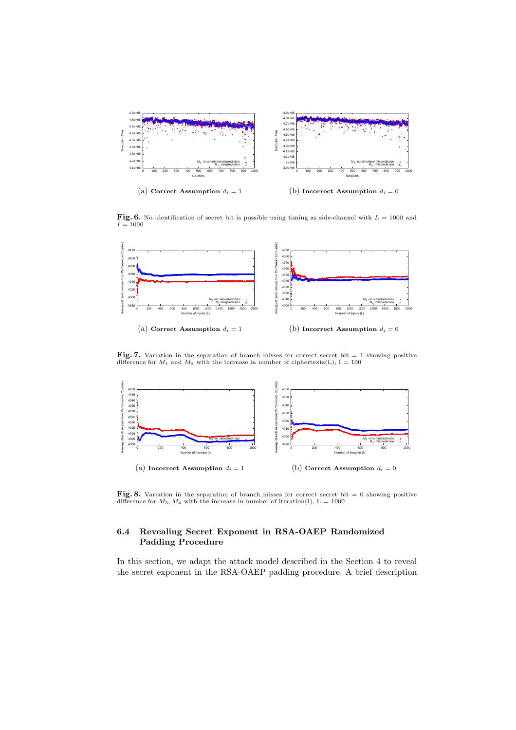

Fig. 6. No identification of secret bit is possible using timing as side-channel with  $L = 1000$  and  $I = 1000$ 



Fig. 7. Variation in the separation of branch misses for correct secret bit  $= 1$  showing positive difference for  $M_1$  and  $M_2$  with the increase in number of ciphertexts(L), I = 100



**Fig. 8.** Variation in the separation of branch misses for correct secret bit  $= 0$  showing positive difference for  $M_3$ ,  $M_4$  with the increase in number of iteration(I),  $L = 1000$ 

# 6.4 Revealing Secret Exponent in RSA-OAEP Randomized Padding Procedure

In this section, we adapt the attack model described in the Section 4 to reveal the secret exponent in the RSA-OAEP padding procedure. A brief description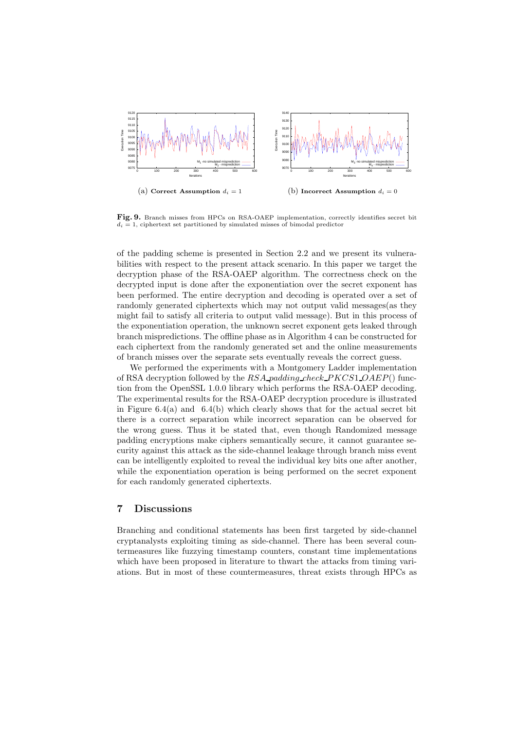

Fig. 9. Branch misses from HPCs on RSA-OAEP implementation, correctly identifies secret bit  $d_i = 1$ , ciphertext set partitioned by simulated misses of bimodal predictor

of the padding scheme is presented in Section 2.2 and we present its vulnerabilities with respect to the present attack scenario. In this paper we target the decryption phase of the RSA-OAEP algorithm. The correctness check on the decrypted input is done after the exponentiation over the secret exponent has been performed. The entire decryption and decoding is operated over a set of randomly generated ciphertexts which may not output valid messages(as they might fail to satisfy all criteria to output valid message). But in this process of the exponentiation operation, the unknown secret exponent gets leaked through branch mispredictions. The offline phase as in Algorithm 4 can be constructed for each ciphertext from the randomly generated set and the online measurements of branch misses over the separate sets eventually reveals the correct guess.

We performed the experiments with a Montgomery Ladder implementation of RSA decryption followed by the RSA padding check PKCS1 OAEP() function from the OpenSSL 1.0.0 library which performs the RSA-OAEP decoding. The experimental results for the RSA-OAEP decryption procedure is illustrated in Figure 6.4(a) and 6.4(b) which clearly shows that for the actual secret bit there is a correct separation while incorrect separation can be observed for the wrong guess. Thus it be stated that, even though Randomized message padding encryptions make ciphers semantically secure, it cannot guarantee security against this attack as the side-channel leakage through branch miss event can be intelligently exploited to reveal the individual key bits one after another, while the exponentiation operation is being performed on the secret exponent for each randomly generated ciphertexts.

# 7 Discussions

Branching and conditional statements has been first targeted by side-channel cryptanalysts exploiting timing as side-channel. There has been several countermeasures like fuzzying timestamp counters, constant time implementations which have been proposed in literature to thwart the attacks from timing variations. But in most of these countermeasures, threat exists through HPCs as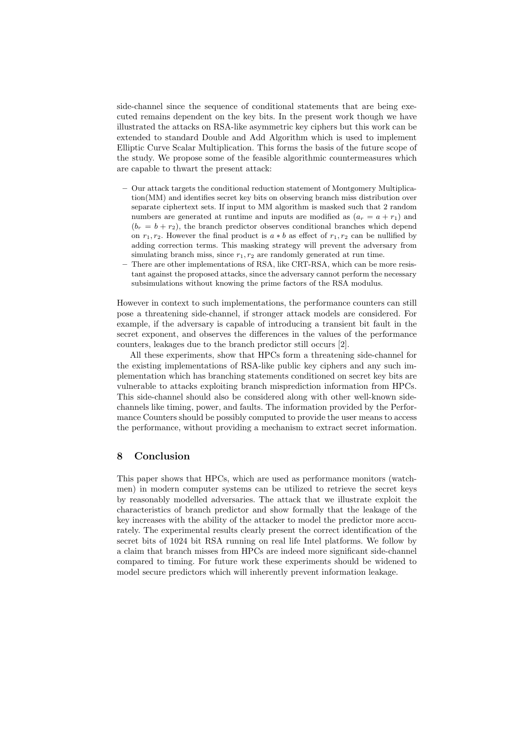side-channel since the sequence of conditional statements that are being executed remains dependent on the key bits. In the present work though we have illustrated the attacks on RSA-like asymmetric key ciphers but this work can be extended to standard Double and Add Algorithm which is used to implement Elliptic Curve Scalar Multiplication. This forms the basis of the future scope of the study. We propose some of the feasible algorithmic countermeasures which are capable to thwart the present attack:

- $-$  Our attack targets the conditional reduction statement of Montgomery Multiplication(MM) and identifies secret key bits on observing branch miss distribution over separate ciphertext sets. If input to MM algorithm is masked such that 2 random numbers are generated at runtime and inputs are modified as  $(a_r = a + r_1)$  and  $(b<sub>r</sub> = b + r<sub>2</sub>)$ , the branch predictor observes conditional branches which depend on  $r_1, r_2$ . However the final product is  $a * b$  as effect of  $r_1, r_2$  can be nullified by adding correction terms. This masking strategy will prevent the adversary from simulating branch miss, since  $r_1, r_2$  are randomly generated at run time.
- There are other implementations of RSA, like CRT-RSA, which can be more resistant against the proposed attacks, since the adversary cannot perform the necessary subsimulations without knowing the prime factors of the RSA modulus.

However in context to such implementations, the performance counters can still pose a threatening side-channel, if stronger attack models are considered. For example, if the adversary is capable of introducing a transient bit fault in the secret exponent, and observes the differences in the values of the performance counters, leakages due to the branch predictor still occurs [2].

All these experiments, show that HPCs form a threatening side-channel for the existing implementations of RSA-like public key ciphers and any such implementation which has branching statements conditioned on secret key bits are vulnerable to attacks exploiting branch misprediction information from HPCs. This side-channel should also be considered along with other well-known sidechannels like timing, power, and faults. The information provided by the Performance Counters should be possibly computed to provide the user means to access the performance, without providing a mechanism to extract secret information.

### 8 Conclusion

This paper shows that HPCs, which are used as performance monitors (watchmen) in modern computer systems can be utilized to retrieve the secret keys by reasonably modelled adversaries. The attack that we illustrate exploit the characteristics of branch predictor and show formally that the leakage of the key increases with the ability of the attacker to model the predictor more accurately. The experimental results clearly present the correct identification of the secret bits of 1024 bit RSA running on real life Intel platforms. We follow by a claim that branch misses from HPCs are indeed more significant side-channel compared to timing. For future work these experiments should be widened to model secure predictors which will inherently prevent information leakage.